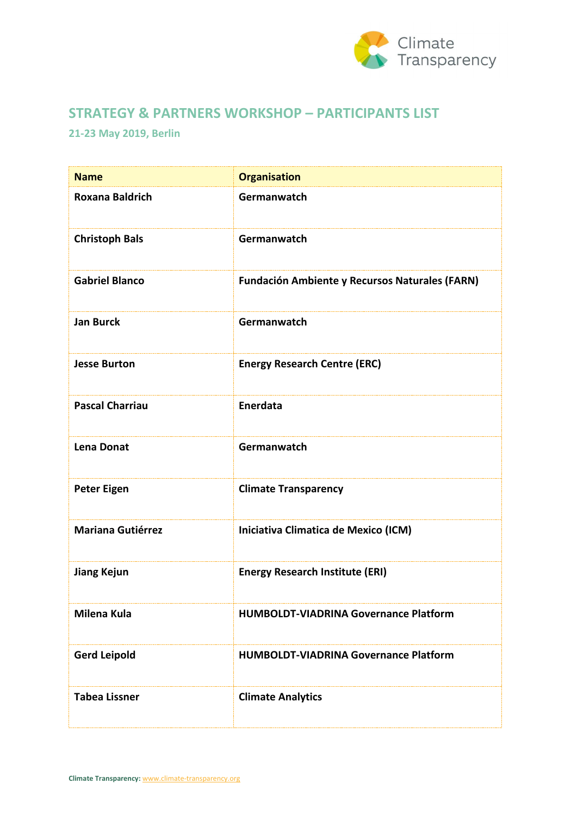

## **STRATEGY & PARTNERS WORKSHOP – PARTICIPANTS LIST**

## **21-23 May 2019, Berlin**

| <b>Name</b>              | <b>Organisation</b>                                   |
|--------------------------|-------------------------------------------------------|
| <b>Roxana Baldrich</b>   | Germanwatch                                           |
| <b>Christoph Bals</b>    | Germanwatch                                           |
| <b>Gabriel Blanco</b>    | <b>Fundación Ambiente y Recursos Naturales (FARN)</b> |
| <b>Jan Burck</b>         | Germanwatch                                           |
| <b>Jesse Burton</b>      | <b>Energy Research Centre (ERC)</b>                   |
| <b>Pascal Charriau</b>   | Enerdata                                              |
| <b>Lena Donat</b>        | Germanwatch                                           |
| <b>Peter Eigen</b>       | <b>Climate Transparency</b>                           |
| <b>Mariana Gutiérrez</b> | Iniciativa Climatica de Mexico (ICM)                  |
| <b>Jiang Kejun</b>       | <b>Energy Research Institute (ERI)</b>                |
| <b>Milena Kula</b>       | <b>HUMBOLDT-VIADRINA Governance Platform</b>          |
| <b>Gerd Leipold</b>      | <b>HUMBOLDT-VIADRINA Governance Platform</b>          |
| <b>Tabea Lissner</b>     | <b>Climate Analytics</b>                              |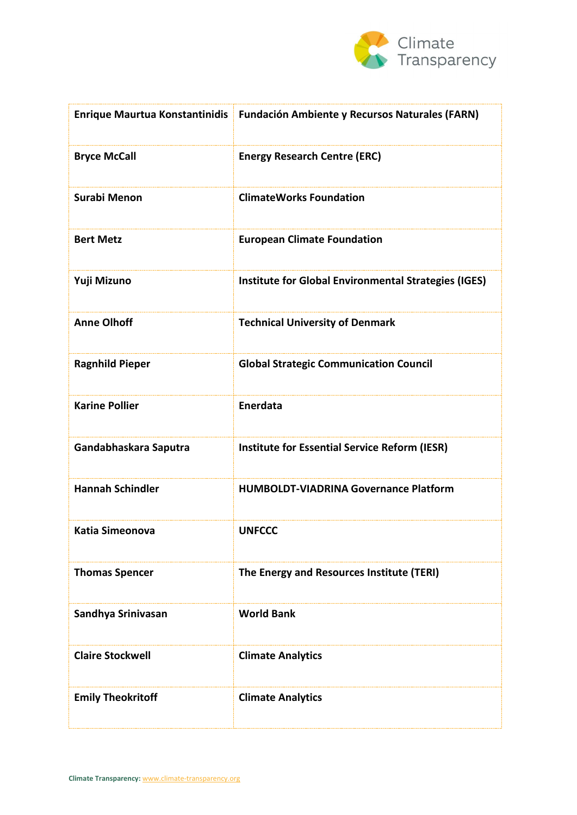

|                          | Enrique Maurtua Konstantinidis   Fundación Ambiente y Recursos Naturales (FARN) |
|--------------------------|---------------------------------------------------------------------------------|
| <b>Bryce McCall</b>      | <b>Energy Research Centre (ERC)</b>                                             |
| <b>Surabi Menon</b>      | <b>ClimateWorks Foundation</b>                                                  |
| <b>Bert Metz</b>         | <b>European Climate Foundation</b>                                              |
| Yuji Mizuno              | <b>Institute for Global Environmental Strategies (IGES)</b>                     |
| <b>Anne Olhoff</b>       | <b>Technical University of Denmark</b>                                          |
| <b>Ragnhild Pieper</b>   | <b>Global Strategic Communication Council</b>                                   |
| <b>Karine Pollier</b>    | Enerdata                                                                        |
| Gandabhaskara Saputra    | <b>Institute for Essential Service Reform (IESR)</b>                            |
| <b>Hannah Schindler</b>  | <b>HUMBOLDT-VIADRINA Governance Platform</b>                                    |
| <b>Katia Simeonova</b>   | <b>UNFCCC</b>                                                                   |
| <b>Thomas Spencer</b>    | The Energy and Resources Institute (TERI)                                       |
| Sandhya Srinivasan       | <b>World Bank</b>                                                               |
| <b>Claire Stockwell</b>  | <b>Climate Analytics</b>                                                        |
| <b>Emily Theokritoff</b> | <b>Climate Analytics</b>                                                        |